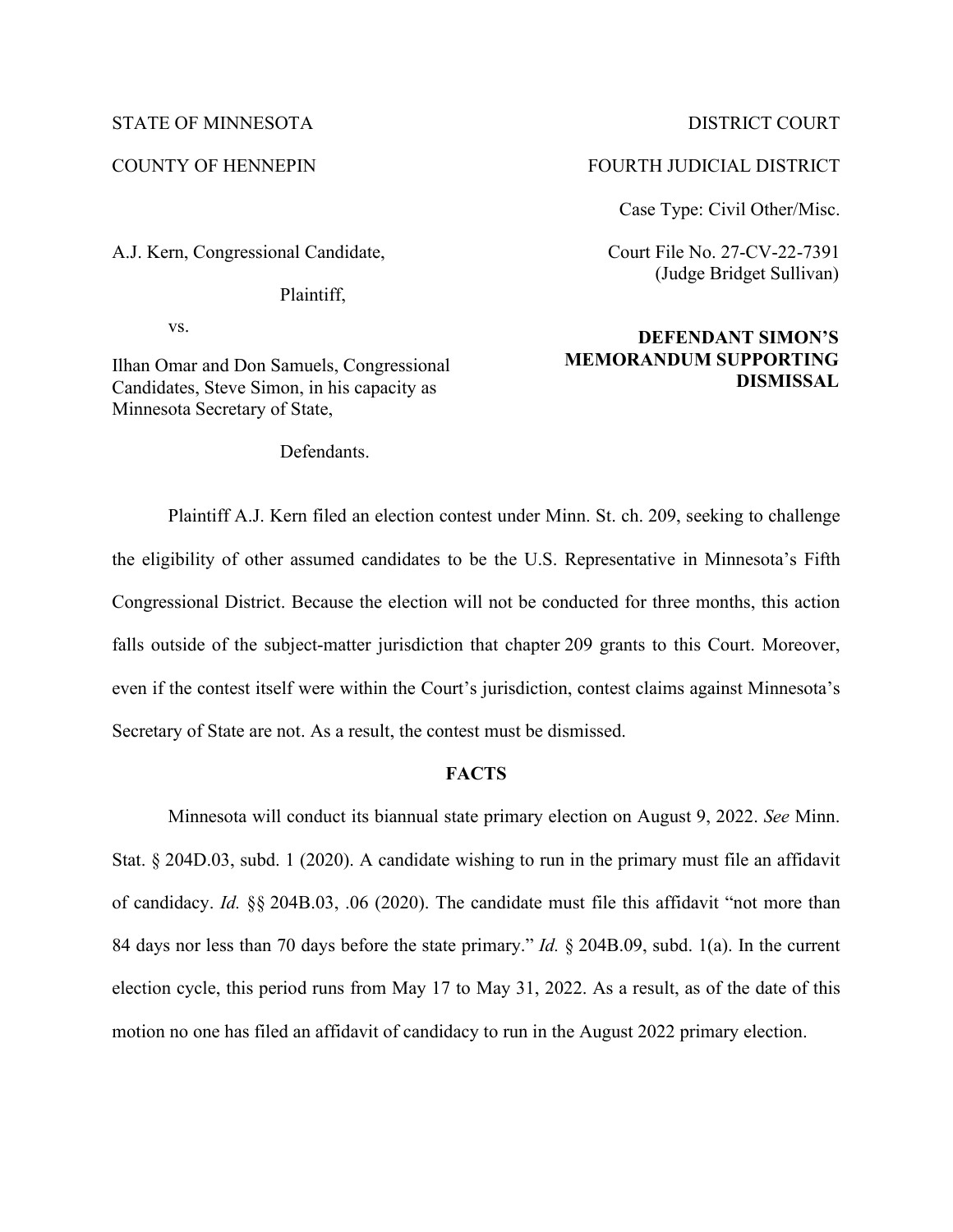## STATE OF MINNESOTA DISTRICT COURT

A.J. Kern, Congressional Candidate,

Plaintiff,

vs.

Ilhan Omar and Don Samuels, Congressional Candidates, Steve Simon, in his capacity as Minnesota Secretary of State,

Defendants.

# COUNTY OF HENNEPIN FOURTH JUDICIAL DISTRICT

Case Type: Civil Other/Misc.

Court File No. 27-CV-22-7391 (Judge Bridget Sullivan)

# **DEFENDANT SIMON'S MEMORANDUM SUPPORTING DISMISSAL**

Plaintiff A.J. Kern filed an election contest under Minn. St. ch. 209, seeking to challenge the eligibility of other assumed candidates to be the U.S. Representative in Minnesota's Fifth Congressional District. Because the election will not be conducted for three months, this action falls outside of the subject-matter jurisdiction that chapter 209 grants to this Court. Moreover, even if the contest itself were within the Court's jurisdiction, contest claims against Minnesota's Secretary of State are not. As a result, the contest must be dismissed.

# **FACTS**

Minnesota will conduct its biannual state primary election on August 9, 2022. *See* Minn. Stat. § 204D.03, subd. 1 (2020). A candidate wishing to run in the primary must file an affidavit of candidacy. *Id.* §§ 204B.03, .06 (2020). The candidate must file this affidavit "not more than 84 days nor less than 70 days before the state primary." *Id.* § 204B.09, subd. 1(a). In the current election cycle, this period runs from May 17 to May 31, 2022. As a result, as of the date of this motion no one has filed an affidavit of candidacy to run in the August 2022 primary election.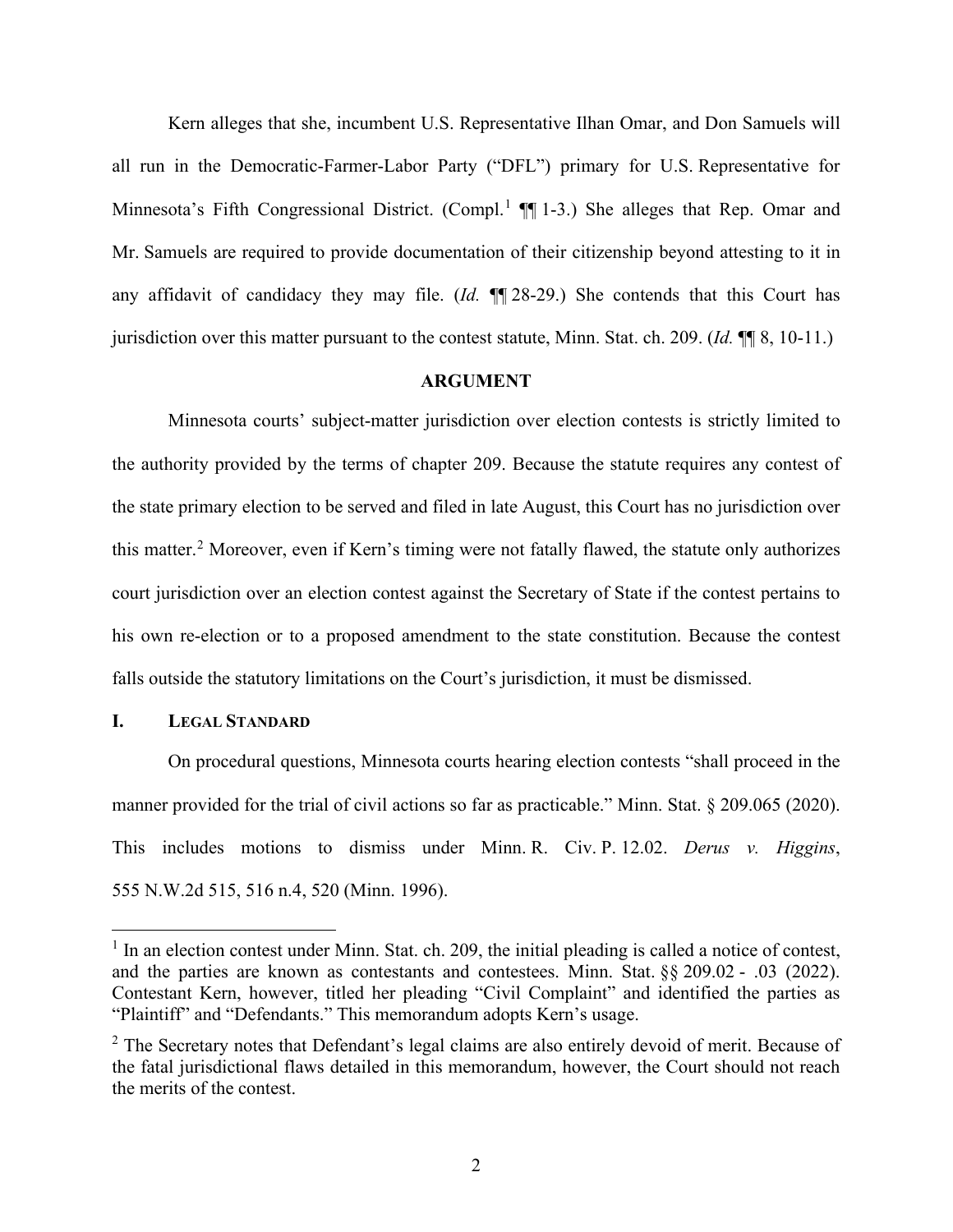Kern alleges that she, incumbent U.S. Representative Ilhan Omar, and Don Samuels will all run in the Democratic-Farmer-Labor Party ("DFL") primary for U.S. Representative for Minnesota's Fifth Congressional District. (Compl.<sup>1</sup> ¶ 1-3.) She alleges that Rep. Omar and Mr. Samuels are required to provide documentation of their citizenship beyond attesting to it in any affidavit of candidacy they may file. (*Id.* ¶¶ 28-29.) She contends that this Court has jurisdiction over this matter pursuant to the contest statute, Minn. Stat. ch. 209. (*Id.* ¶¶ 8, 10-11.)

### **ARGUMENT**

Minnesota courts' subject-matter jurisdiction over election contests is strictly limited to the authority provided by the terms of chapter 209. Because the statute requires any contest of the state primary election to be served and filed in late August, this Court has no jurisdiction over this matter.<sup>2</sup> Moreover, even if Kern's timing were not fatally flawed, the statute only authorizes court jurisdiction over an election contest against the Secretary of State if the contest pertains to his own re-election or to a proposed amendment to the state constitution. Because the contest falls outside the statutory limitations on the Court's jurisdiction, it must be dismissed.

# **I. LEGAL STANDARD**

On procedural questions, Minnesota courts hearing election contests "shall proceed in the manner provided for the trial of civil actions so far as practicable." Minn. Stat. § 209.065 (2020). This includes motions to dismiss under Minn. R. Civ. P. 12.02. *Derus v. Higgins*, 555 N.W.2d 515, 516 n.4, 520 (Minn. 1996).

<sup>&</sup>lt;sup>1</sup> In an election contest under Minn. Stat. ch. 209, the initial pleading is called a notice of contest, and the parties are known as contestants and contestees. Minn. Stat. §§ 209.02 - .03 (2022). Contestant Kern, however, titled her pleading "Civil Complaint" and identified the parties as "Plaintiff" and "Defendants." This memorandum adopts Kern's usage.

 $2$  The Secretary notes that Defendant's legal claims are also entirely devoid of merit. Because of the fatal jurisdictional flaws detailed in this memorandum, however, the Court should not reach the merits of the contest.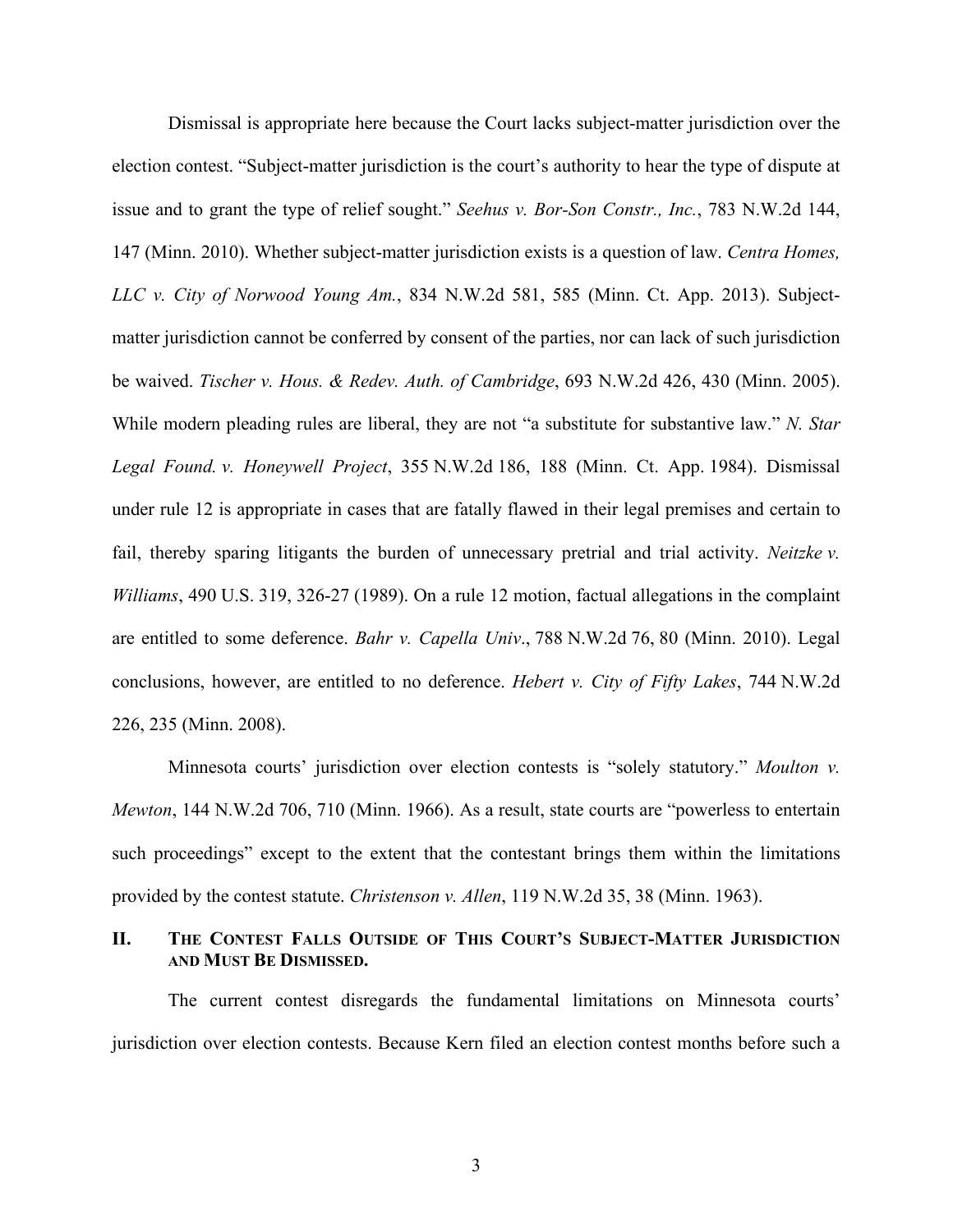Dismissal is appropriate here because the Court lacks subject-matter jurisdiction over the election contest. "Subject-matter jurisdiction is the court's authority to hear the type of dispute at issue and to grant the type of relief sought." *Seehus v. Bor-Son Constr., Inc.*, 783 N.W.2d 144, 147 (Minn. 2010). Whether subject-matter jurisdiction exists is a question of law. *Centra Homes, LLC v. City of Norwood Young Am.*, 834 N.W.2d 581, 585 (Minn. Ct. App. 2013). Subjectmatter jurisdiction cannot be conferred by consent of the parties, nor can lack of such jurisdiction be waived. *Tischer v. Hous. & Redev. Auth. of Cambridge*, 693 N.W.2d 426, 430 (Minn. 2005). While modern pleading rules are liberal, they are not "a substitute for substantive law." *N. Star Legal Found. v. Honeywell Project*, 355 N.W.2d 186, 188 (Minn. Ct. App. 1984). Dismissal under rule 12 is appropriate in cases that are fatally flawed in their legal premises and certain to fail, thereby sparing litigants the burden of unnecessary pretrial and trial activity. *Neitzke v. Williams*, 490 U.S. 319, 326-27 (1989). On a rule 12 motion, factual allegations in the complaint are entitled to some deference. *Bahr v. Capella Univ*., 788 N.W.2d 76, 80 (Minn. 2010). Legal conclusions, however, are entitled to no deference. *Hebert v. City of Fifty Lakes*, 744 N.W.2d 226, 235 (Minn. 2008).

Minnesota courts' jurisdiction over election contests is "solely statutory." *Moulton v. Mewton*, 144 N.W.2d 706, 710 (Minn. 1966). As a result, state courts are "powerless to entertain such proceedings" except to the extent that the contestant brings them within the limitations provided by the contest statute. *Christenson v. Allen*, 119 N.W.2d 35, 38 (Minn. 1963).

# **II. THE CONTEST FALLS OUTSIDE OF THIS COURT'S SUBJECT-MATTER JURISDICTION AND MUST BE DISMISSED.**

The current contest disregards the fundamental limitations on Minnesota courts' jurisdiction over election contests. Because Kern filed an election contest months before such a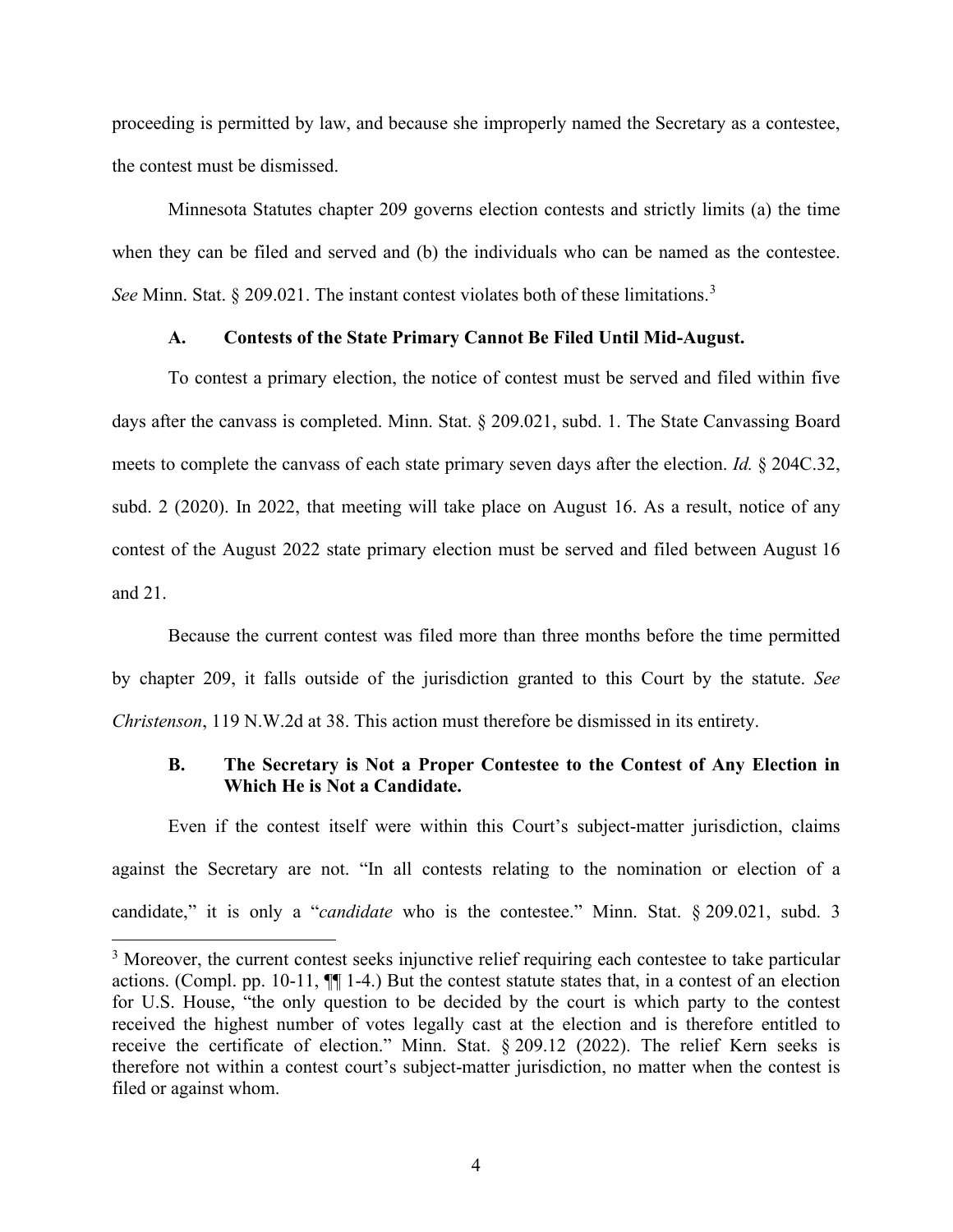proceeding is permitted by law, and because she improperly named the Secretary as a contestee, the contest must be dismissed.

Minnesota Statutes chapter 209 governs election contests and strictly limits (a) the time when they can be filed and served and (b) the individuals who can be named as the contestee. *See* Minn. Stat. § 209.021. The instant contest violates both of these limitations.<sup>3</sup>

## **A. Contests of the State Primary Cannot Be Filed Until Mid-August.**

To contest a primary election, the notice of contest must be served and filed within five days after the canvass is completed. Minn. Stat. § 209.021, subd. 1. The State Canvassing Board meets to complete the canvass of each state primary seven days after the election. *Id.* § 204C.32, subd. 2 (2020). In 2022, that meeting will take place on August 16. As a result, notice of any contest of the August 2022 state primary election must be served and filed between August 16 and 21.

Because the current contest was filed more than three months before the time permitted by chapter 209, it falls outside of the jurisdiction granted to this Court by the statute. *See Christenson*, 119 N.W.2d at 38. This action must therefore be dismissed in its entirety.

# **B. The Secretary is Not a Proper Contestee to the Contest of Any Election in Which He is Not a Candidate.**

Even if the contest itself were within this Court's subject-matter jurisdiction, claims against the Secretary are not. "In all contests relating to the nomination or election of a candidate," it is only a "*candidate* who is the contestee." Minn. Stat. § 209.021, subd. 3

<sup>&</sup>lt;sup>3</sup> Moreover, the current contest seeks injunctive relief requiring each contestee to take particular actions. (Compl. pp. 10-11, ¶¶ 1-4.) But the contest statute states that, in a contest of an election for U.S. House, "the only question to be decided by the court is which party to the contest received the highest number of votes legally cast at the election and is therefore entitled to receive the certificate of election." Minn. Stat. § 209.12 (2022). The relief Kern seeks is therefore not within a contest court's subject-matter jurisdiction, no matter when the contest is filed or against whom.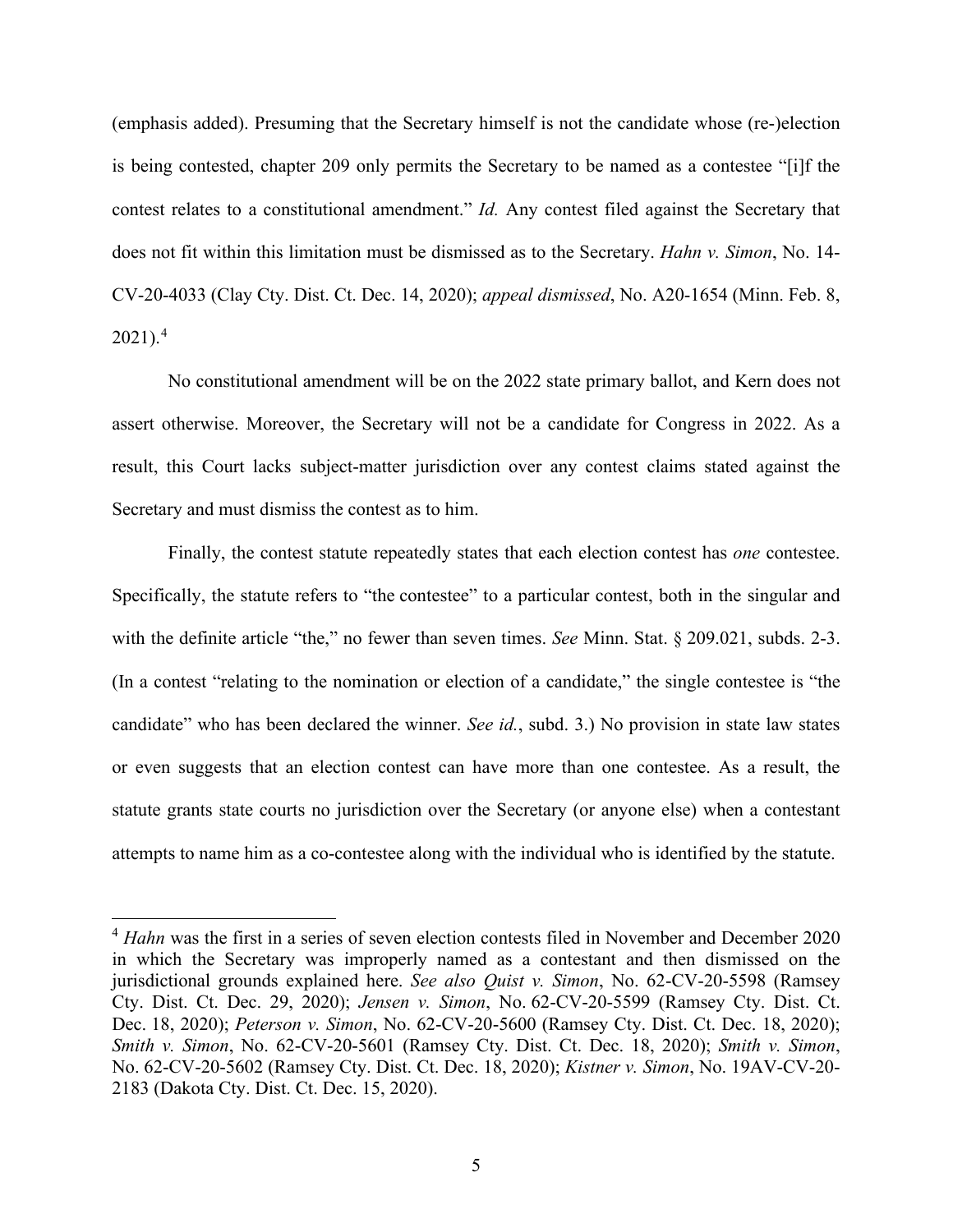(emphasis added). Presuming that the Secretary himself is not the candidate whose (re-)election is being contested, chapter 209 only permits the Secretary to be named as a contestee "[i]f the contest relates to a constitutional amendment." *Id.* Any contest filed against the Secretary that does not fit within this limitation must be dismissed as to the Secretary. *Hahn v. Simon*, No. 14- CV-20-4033 (Clay Cty. Dist. Ct. Dec. 14, 2020); *appeal dismissed*, No. A20-1654 (Minn. Feb. 8,  $2021$ ).<sup>4</sup>

No constitutional amendment will be on the 2022 state primary ballot, and Kern does not assert otherwise. Moreover, the Secretary will not be a candidate for Congress in 2022. As a result, this Court lacks subject-matter jurisdiction over any contest claims stated against the Secretary and must dismiss the contest as to him.

Finally, the contest statute repeatedly states that each election contest has *one* contestee. Specifically, the statute refers to "the contestee" to a particular contest, both in the singular and with the definite article "the," no fewer than seven times. *See* Minn. Stat. § 209.021, subds. 2-3. (In a contest "relating to the nomination or election of a candidate," the single contestee is "the candidate" who has been declared the winner. *See id.*, subd. 3.) No provision in state law states or even suggests that an election contest can have more than one contestee. As a result, the statute grants state courts no jurisdiction over the Secretary (or anyone else) when a contestant attempts to name him as a co-contestee along with the individual who is identified by the statute.

<sup>&</sup>lt;sup>4</sup> *Hahn* was the first in a series of seven election contests filed in November and December 2020 in which the Secretary was improperly named as a contestant and then dismissed on the jurisdictional grounds explained here. *See also Quist v. Simon*, No. 62-CV-20-5598 (Ramsey Cty. Dist. Ct. Dec. 29, 2020); *Jensen v. Simon*, No. 62-CV-20-5599 (Ramsey Cty. Dist. Ct. Dec. 18, 2020); *Peterson v. Simon*, No. 62-CV-20-5600 (Ramsey Cty. Dist. Ct. Dec. 18, 2020); *Smith v. Simon*, No. 62-CV-20-5601 (Ramsey Cty. Dist. Ct. Dec. 18, 2020); *Smith v. Simon*, No. 62-CV-20-5602 (Ramsey Cty. Dist. Ct. Dec. 18, 2020); *Kistner v. Simon*, No. 19AV-CV-20- 2183 (Dakota Cty. Dist. Ct. Dec. 15, 2020).